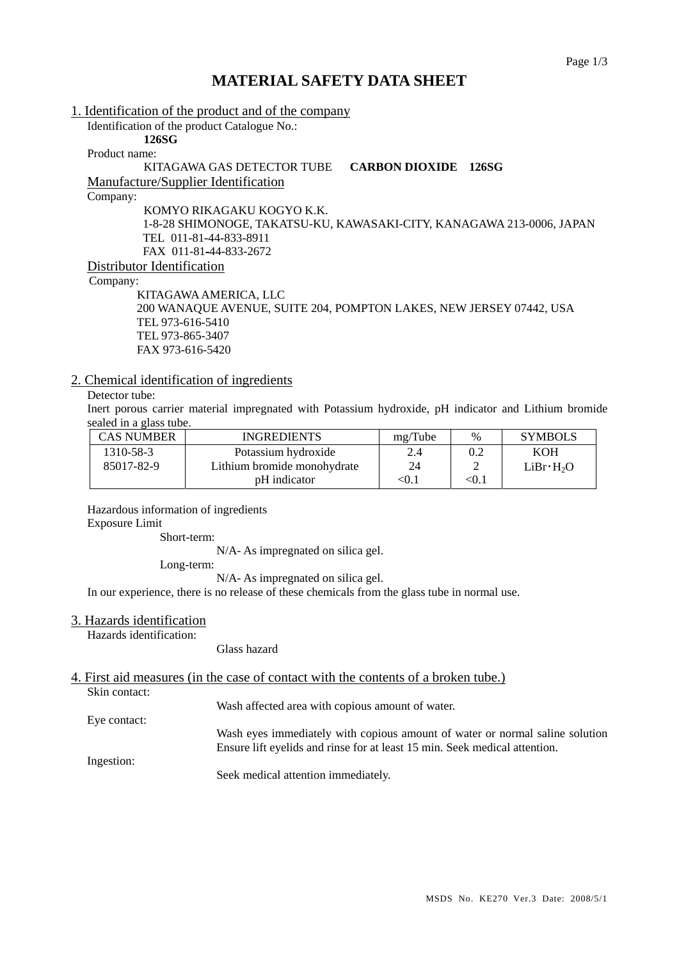## **MATERIAL SAFETY DATA SHEET**

1. Identification of the product and of the company Identification of the product Catalogue No.: **126SG**  Product name: KITAGAWA GAS DETECTOR TUBE **CARBON DIOXIDE 126SG** Manufacture/Supplier Identification Company: KOMYO RIKAGAKU KOGYO K.K. 1-8-28 SHIMONOGE, TAKATSU-KU, KAWASAKI-CITY, KANAGAWA 213-0006, JAPAN TEL 011-81-44-833-8911 FAX 011-81-44-833-2672 Distributor Identification Company: KITAGAWA AMERICA, LLC 200 WANAQUE AVENUE, SUITE 204, POMPTON LAKES, NEW JERSEY 07442, USA

 TEL 973-616-5410 TEL 973-865-3407 FAX 973-616-5420

## 2. Chemical identification of ingredients

## Detector tube:

Inert porous carrier material impregnated with Potassium hydroxide, pH indicator and Lithium bromide sealed in a glass tube.

| <b>CAS NUMBER</b> | <b>INGREDIENTS</b>          | mg/Tube | $\%$    | <b>SYMBOLS</b>        |
|-------------------|-----------------------------|---------|---------|-----------------------|
| 1310-58-3         | Potassium hydroxide         | 2.4     |         | <b>KOH</b>            |
| 85017-82-9        | Lithium bromide monohydrate | 24      |         | LiBr·H <sub>2</sub> O |
|                   | pH indicator                | <0.1    | $<$ 0.1 |                       |

Hazardous information of ingredients Exposure Limit

Short-term:

N/A- As impregnated on silica gel.

Long-term:

N/A- As impregnated on silica gel.

In our experience, there is no release of these chemicals from the glass tube in normal use.

## 3. Hazards identification

Hazards identification:

Glass hazard

4. First aid measures (in the case of contact with the contents of a broken tube.) Skin contact:

Wash affected area with copious amount of water.

Eye contact:

Wash eyes immediately with copious amount of water or normal saline solution Ensure lift eyelids and rinse for at least 15 min. Seek medical attention.

Ingestion:

Seek medical attention immediately.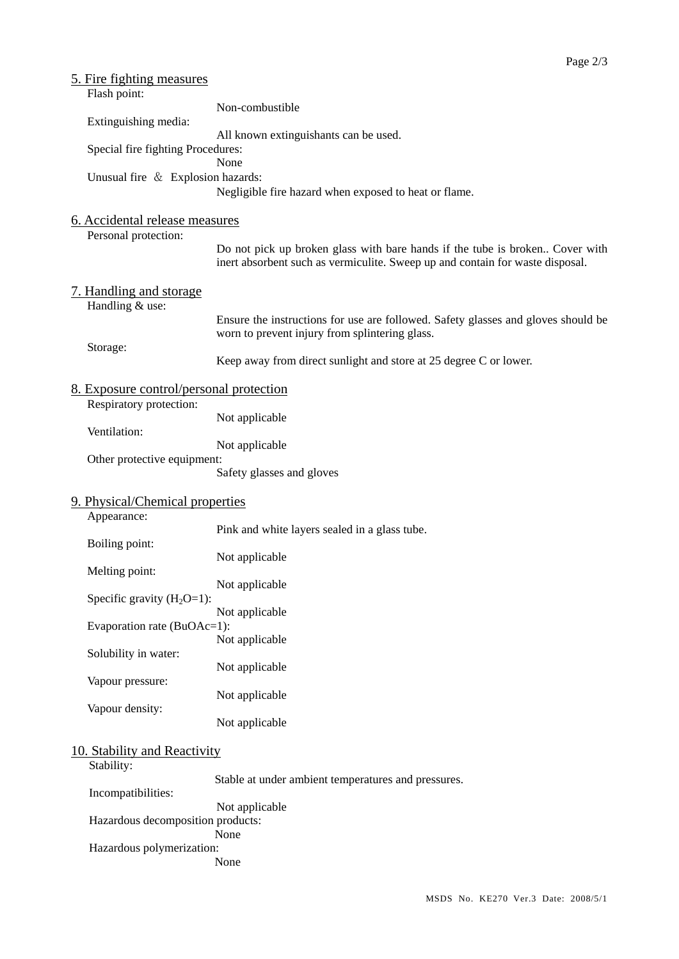| 5. Fire fighting measures<br>Flash point:                          |                                                                                                                                                               |  |  |  |  |
|--------------------------------------------------------------------|---------------------------------------------------------------------------------------------------------------------------------------------------------------|--|--|--|--|
| Extinguishing media:                                               | Non-combustible                                                                                                                                               |  |  |  |  |
| Special fire fighting Procedures:                                  | All known extinguishants can be used.                                                                                                                         |  |  |  |  |
|                                                                    | None                                                                                                                                                          |  |  |  |  |
| Unusual fire & Explosion hazards:                                  | Negligible fire hazard when exposed to heat or flame.                                                                                                         |  |  |  |  |
| 6. Accidental release measures<br>Personal protection:             |                                                                                                                                                               |  |  |  |  |
|                                                                    | Do not pick up broken glass with bare hands if the tube is broken Cover with<br>inert absorbent such as vermiculite. Sweep up and contain for waste disposal. |  |  |  |  |
| 7. Handling and storage<br>Handling & use:                         |                                                                                                                                                               |  |  |  |  |
|                                                                    | Ensure the instructions for use are followed. Safety glasses and gloves should be<br>worn to prevent injury from splintering glass.                           |  |  |  |  |
| Storage:                                                           | Keep away from direct sunlight and store at 25 degree C or lower.                                                                                             |  |  |  |  |
| 8. Exposure control/personal protection<br>Respiratory protection: |                                                                                                                                                               |  |  |  |  |
| Ventilation:                                                       | Not applicable                                                                                                                                                |  |  |  |  |
| Other protective equipment:                                        | Not applicable                                                                                                                                                |  |  |  |  |
|                                                                    | Safety glasses and gloves                                                                                                                                     |  |  |  |  |
| 9. Physical/Chemical properties<br>Appearance:                     |                                                                                                                                                               |  |  |  |  |
| Boiling point:                                                     | Pink and white layers sealed in a glass tube.                                                                                                                 |  |  |  |  |
| Melting point:                                                     | Not applicable                                                                                                                                                |  |  |  |  |
| Specific gravity $(H_2O=1)$ :                                      | Not applicable                                                                                                                                                |  |  |  |  |
| Evaporation rate (BuOAc=1):                                        | Not applicable                                                                                                                                                |  |  |  |  |
| Solubility in water:                                               | Not applicable<br>Not applicable                                                                                                                              |  |  |  |  |
| Vapour pressure:                                                   | Not applicable                                                                                                                                                |  |  |  |  |
| Vapour density:                                                    | Not applicable                                                                                                                                                |  |  |  |  |
| 10. Stability and Reactivity                                       |                                                                                                                                                               |  |  |  |  |
| Stability:                                                         | Stable at under ambient temperatures and pressures.                                                                                                           |  |  |  |  |
| Incompatibilities:                                                 | Not applicable                                                                                                                                                |  |  |  |  |
| Hazardous decomposition products:<br>Hazardous polymerization:     | None                                                                                                                                                          |  |  |  |  |
|                                                                    | None                                                                                                                                                          |  |  |  |  |